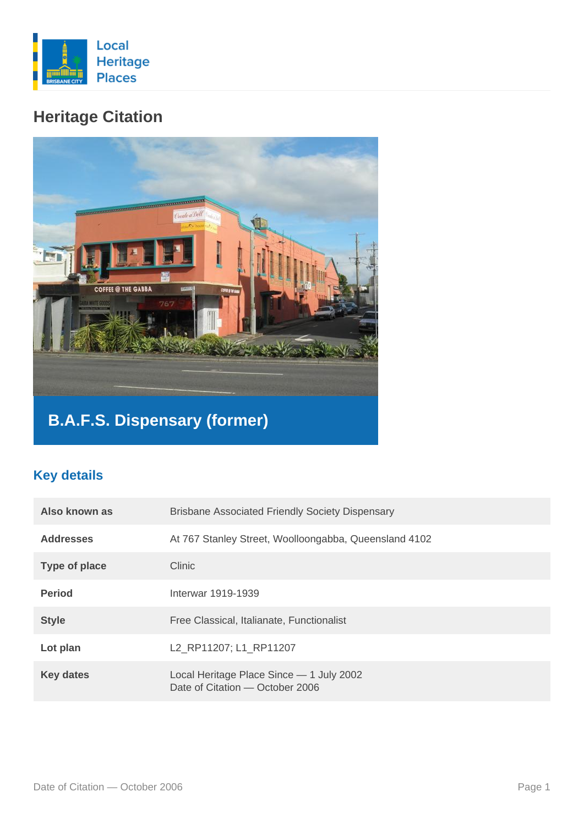

## **Heritage Citation**



# **B.A.F.S. Dispensary (former)**

### **Key details**

| Also known as    | <b>Brisbane Associated Friendly Society Dispensary</b>                      |
|------------------|-----------------------------------------------------------------------------|
| <b>Addresses</b> | At 767 Stanley Street, Woolloongabba, Queensland 4102                       |
| Type of place    | Clinic                                                                      |
| <b>Period</b>    | Interwar 1919-1939                                                          |
| <b>Style</b>     | Free Classical, Italianate, Functionalist                                   |
| Lot plan         | L2 RP11207; L1 RP11207                                                      |
| <b>Key dates</b> | Local Heritage Place Since - 1 July 2002<br>Date of Citation - October 2006 |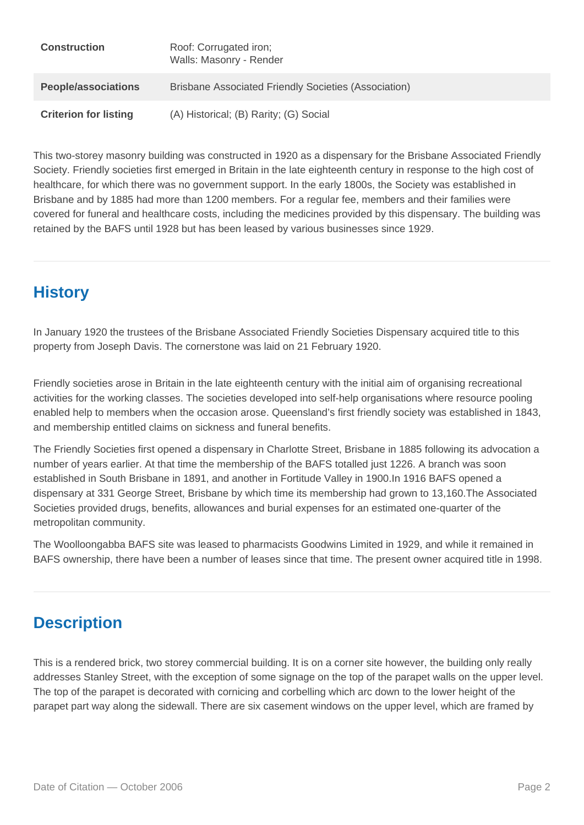| <b>Construction</b>          | Roof: Corrugated iron;<br>Walls: Masonry - Render    |
|------------------------------|------------------------------------------------------|
| <b>People/associations</b>   | Brisbane Associated Friendly Societies (Association) |
| <b>Criterion for listing</b> | (A) Historical; (B) Rarity; (G) Social               |

This two-storey masonry building was constructed in 1920 as a dispensary for the Brisbane Associated Friendly Society. Friendly societies first emerged in Britain in the late eighteenth century in response to the high cost of healthcare, for which there was no government support. In the early 1800s, the Society was established in Brisbane and by 1885 had more than 1200 members. For a regular fee, members and their families were covered for funeral and healthcare costs, including the medicines provided by this dispensary. The building was retained by the BAFS until 1928 but has been leased by various businesses since 1929.

## **History**

In January 1920 the trustees of the Brisbane Associated Friendly Societies Dispensary acquired title to this property from Joseph Davis. The cornerstone was laid on 21 February 1920.

Friendly societies arose in Britain in the late eighteenth century with the initial aim of organising recreational activities for the working classes. The societies developed into self-help organisations where resource pooling enabled help to members when the occasion arose. Queensland's first friendly society was established in 1843, and membership entitled claims on sickness and funeral benefits.

The Friendly Societies first opened a dispensary in Charlotte Street, Brisbane in 1885 following its advocation a number of years earlier. At that time the membership of the BAFS totalled just 1226. A branch was soon established in South Brisbane in 1891, and another in Fortitude Valley in 1900.In 1916 BAFS opened a dispensary at 331 George Street, Brisbane by which time its membership had grown to 13,160.The Associated Societies provided drugs, benefits, allowances and burial expenses for an estimated one-quarter of the metropolitan community.

The Woolloongabba BAFS site was leased to pharmacists Goodwins Limited in 1929, and while it remained in BAFS ownership, there have been a number of leases since that time. The present owner acquired title in 1998.

## **Description**

This is a rendered brick, two storey commercial building. It is on a corner site however, the building only really addresses Stanley Street, with the exception of some signage on the top of the parapet walls on the upper level. The top of the parapet is decorated with cornicing and corbelling which arc down to the lower height of the parapet part way along the sidewall. There are six casement windows on the upper level, which are framed by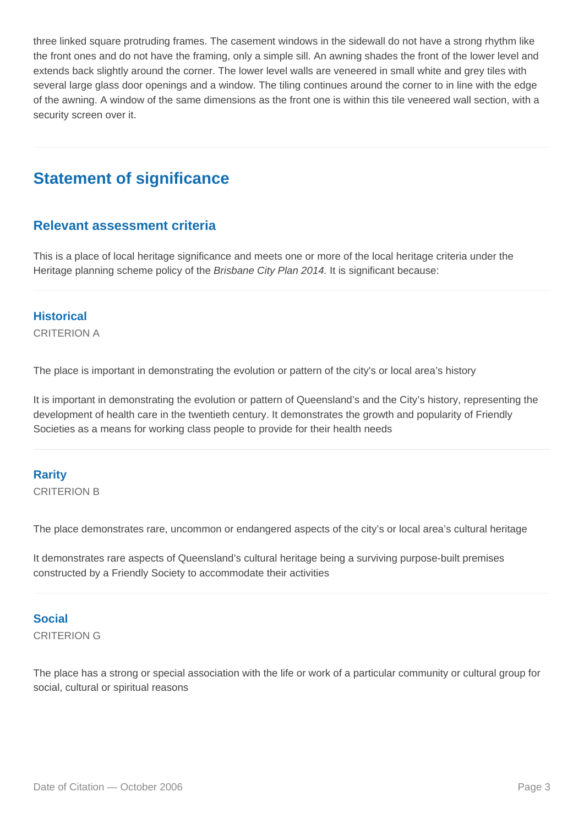three linked square protruding frames. The casement windows in the sidewall do not have a strong rhythm like the front ones and do not have the framing, only a simple sill. An awning shades the front of the lower level and extends back slightly around the corner. The lower level walls are veneered in small white and grey tiles with several large glass door openings and a window. The tiling continues around the corner to in line with the edge of the awning. A window of the same dimensions as the front one is within this tile veneered wall section, with a security screen over it.

## **Statement of significance**

#### **Relevant assessment criteria**

This is a place of local heritage significance and meets one or more of the local heritage criteria under the Heritage planning scheme policy of the Brisbane City Plan 2014. It is significant because:

#### **Historical**

CRITERION A

The place is important in demonstrating the evolution or pattern of the city's or local area's history

It is important in demonstrating the evolution or pattern of Queensland's and the City's history, representing the development of health care in the twentieth century. It demonstrates the growth and popularity of Friendly Societies as a means for working class people to provide for their health needs

#### **Rarity**

CRITERION B

The place demonstrates rare, uncommon or endangered aspects of the city's or local area's cultural heritage

It demonstrates rare aspects of Queensland's cultural heritage being a surviving purpose-built premises constructed by a Friendly Society to accommodate their activities

#### **Social**

CRITERION G

The place has a strong or special association with the life or work of a particular community or cultural group for social, cultural or spiritual reasons